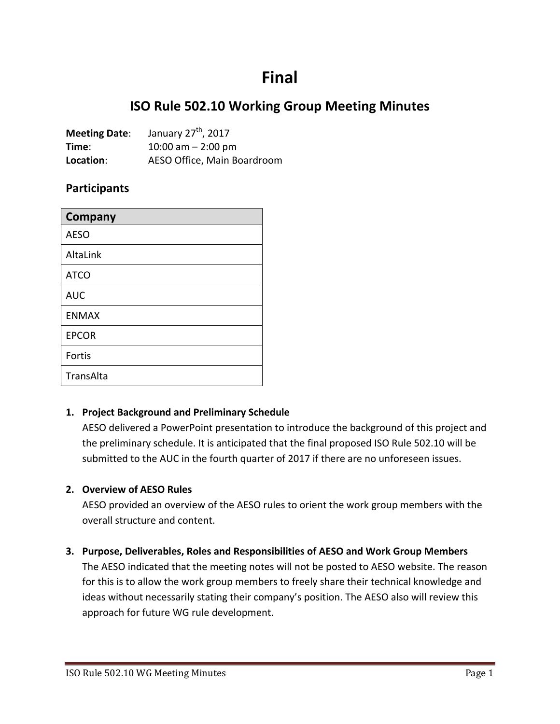# **Final**

## **ISO Rule 502.10 Working Group Meeting Minutes**

| <b>Meeting Date:</b> | January 27 <sup>th</sup> , 2017 |
|----------------------|---------------------------------|
| Time:                | 10:00 am $-$ 2:00 pm            |
| Location:            | AESO Office, Main Boardroom     |

## **Participants**

| <b>Company</b> |
|----------------|
| <b>AESO</b>    |
| AltaLink       |
| <b>ATCO</b>    |
| <b>AUC</b>     |
| <b>ENMAX</b>   |
| <b>EPCOR</b>   |
| Fortis         |
| TransAlta      |

#### **1. Project Background and Preliminary Schedule**

AESO delivered a PowerPoint presentation to introduce the background of this project and the preliminary schedule. It is anticipated that the final proposed ISO Rule 502.10 will be submitted to the AUC in the fourth quarter of 2017 if there are no unforeseen issues.

#### **2. Overview of AESO Rules**

AESO provided an overview of the AESO rules to orient the work group members with the overall structure and content.

#### **3. Purpose, Deliverables, Roles and Responsibilities of AESO and Work Group Members**

The AESO indicated that the meeting notes will not be posted to AESO website. The reason for this is to allow the work group members to freely share their technical knowledge and ideas without necessarily stating their company's position. The AESO also will review this approach for future WG rule development.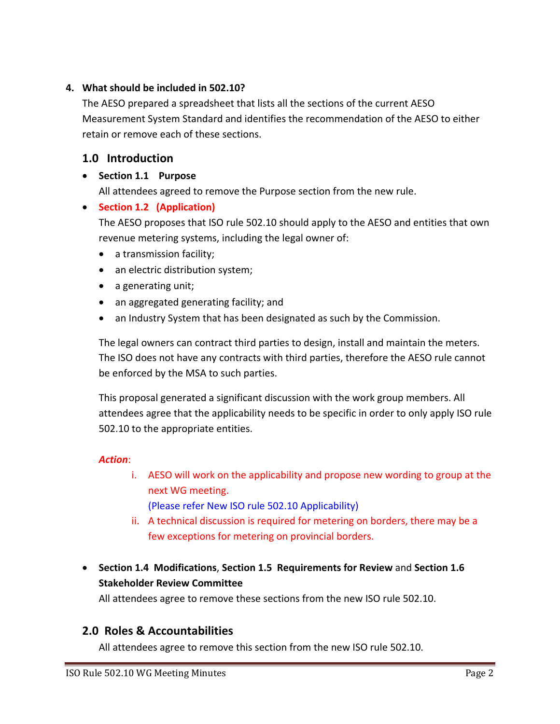## **4. What should be included in 502.10?**

The AESO prepared a spreadsheet that lists all the sections of the current AESO Measurement System Standard and identifies the recommendation of the AESO to either retain or remove each of these sections.

## **1.0 Introduction**

### • **Section 1.1 Purpose**

All attendees agreed to remove the Purpose section from the new rule.

## • **Section 1.2 (Application)**

The AESO proposes that ISO rule 502.10 should apply to the AESO and entities that own revenue metering systems, including the legal owner of:

- a transmission facility;
- an electric distribution system;
- a generating unit;
- an aggregated generating facility; and
- an Industry System that has been designated as such by the Commission.

The legal owners can contract third parties to design, install and maintain the meters. The ISO does not have any contracts with third parties, therefore the AESO rule cannot be enforced by the MSA to such parties.

This proposal generated a significant discussion with the work group members. All attendees agree that the applicability needs to be specific in order to only apply ISO rule 502.10 to the appropriate entities.

#### *Action*:

i. AESO will work on the applicability and propose new wording to group at the next WG meeting.

(Please refer New ISO rule 502.10 Applicability)

- ii. A technical discussion is required for metering on borders, there may be a few exceptions for metering on provincial borders.
- **Section 1.4 Modifications**, **Section 1.5 Requirements for Review** and **Section 1.6 Stakeholder Review Committee**

All attendees agree to remove these sections from the new ISO rule 502.10.

## **2.0 Roles & Accountabilities**

All attendees agree to remove this section from the new ISO rule 502.10.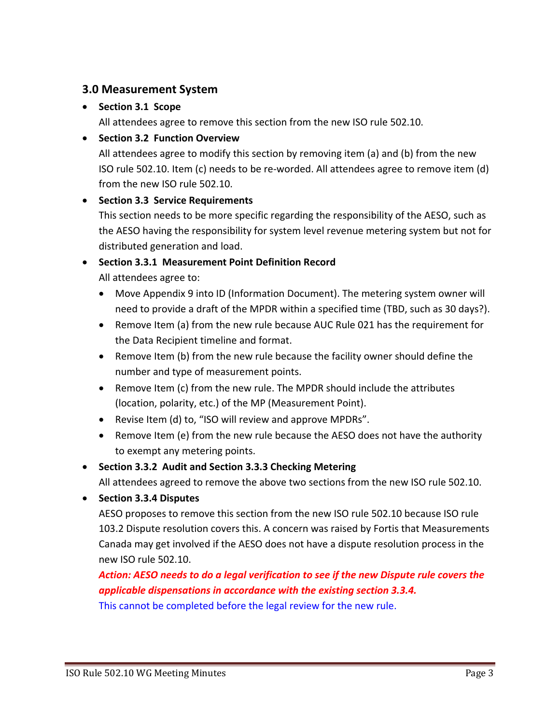## **3.0 Measurement System**

## • **Section 3.1 Scope**

All attendees agree to remove this section from the new ISO rule 502.10.

## • **Section 3.2 Function Overview**

All attendees agree to modify this section by removing item (a) and (b) from the new ISO rule 502.10. Item (c) needs to be re-worded. All attendees agree to remove item (d) from the new ISO rule 502.10.

#### • **Section 3.3 Service Requirements**

This section needs to be more specific regarding the responsibility of the AESO, such as the AESO having the responsibility for system level revenue metering system but not for distributed generation and load.

#### • **Section 3.3.1 Measurement Point Definition Record** All attendees agree to:

- Move Appendix 9 into ID (Information Document). The metering system owner will need to provide a draft of the MPDR within a specified time (TBD, such as 30 days?).
- Remove Item (a) from the new rule because AUC Rule 021 has the requirement for the Data Recipient timeline and format.
- Remove Item (b) from the new rule because the facility owner should define the number and type of measurement points.
- Remove Item (c) from the new rule. The MPDR should include the attributes (location, polarity, etc.) of the MP (Measurement Point).
- Revise Item (d) to, "ISO will review and approve MPDRs".
- Remove Item (e) from the new rule because the AESO does not have the authority to exempt any metering points.

## • **Section 3.3.2 Audit and Section 3.3.3 Checking Metering**

All attendees agreed to remove the above two sections from the new ISO rule 502.10.

• **Section 3.3.4 Disputes**

AESO proposes to remove this section from the new ISO rule 502.10 because ISO rule 103.2 Dispute resolution covers this. A concern was raised by Fortis that Measurements Canada may get involved if the AESO does not have a dispute resolution process in the new ISO rule 502.10.

*Action: AESO needs to do a legal verification to see if the new Dispute rule covers the applicable dispensations in accordance with the existing section 3.3.4.*

This cannot be completed before the legal review for the new rule.